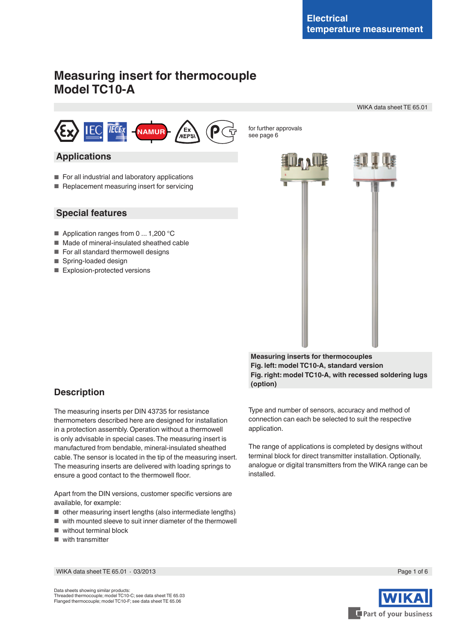WIKA data sheet TE 65.01

# **Measuring insert for thermocouple Model TC10-A**



see page 6

## **Applications**

- For all industrial and laboratory applications
- Replacement measuring insert for servicing

### **Special features**

- Application ranges from 0 ... 1,200 °C
- Made of mineral-insulated sheathed cable
- For all standard thermowell designs
- Spring-loaded design
- Explosion-protected versions



**Measuring inserts for thermocouples Fig. left: model TC10-A, standard version Fig. right: model TC10-A, with recessed soldering lugs (option)**

## **Description**

The measuring inserts per DIN 43735 for resistance thermometers described here are designed for installation in a protection assembly. Operation without a thermowell is only advisable in special cases. The measuring insert is manufactured from bendable, mineral-insulated sheathed cable. The sensor is located in the tip of the measuring insert. The measuring inserts are delivered with loading springs to ensure a good contact to the thermowell floor.

Apart from the DIN versions, customer specific versions are available, for example:

- other measuring insert lengths (also intermediate lengths)
- with mounted sleeve to suit inner diameter of the thermowell
- without terminal block
- with transmitter

Type and number of sensors, accuracy and method of connection can each be selected to suit the respective application.

The range of applications is completed by designs without terminal block for direct transmitter installation. Optionally, analogue or digital transmitters from the WIKA range can be installed.

WIKA data sheet TE 65.01 ∙ 03/2013 Page 1 of 6



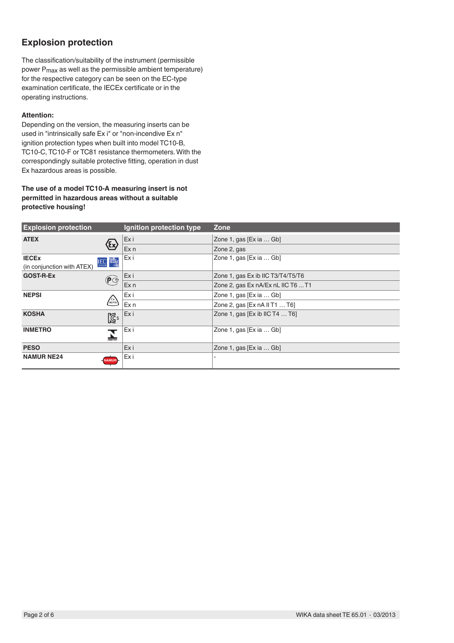# **Explosion protection**

The classification/suitability of the instrument (permissible power Pmax as well as the permissible ambient temperature) for the respective category can be seen on the EC-type examination certificate, the IECEx certificate or in the operating instructions.

### **Attention:**

Depending on the version, the measuring inserts can be used in "intrinsically safe Ex i" or "non-incendive Ex n" ignition protection types when built into model TC10-B, TC10-C, TC10-F or TC81 resistance thermometers. With the correspondingly suitable protective fitting, operation in dust Ex hazardous areas is possible.

### **The use of a model TC10-A measuring insert is not permitted in hazardous areas without a suitable protective housing!**

| <b>Explosion protection</b>                             |                  | Ignition protection type | Zone                                  |
|---------------------------------------------------------|------------------|--------------------------|---------------------------------------|
| <b>ATEX</b><br>$\langle \epsilon \mathsf{x} \rangle$    |                  | Exi                      | Zone 1, gas [Ex ia  Gb]               |
|                                                         |                  | Ex <sub>n</sub>          | Zone 2, gas                           |
| <b>IECEX</b>                                            | <b>IEC IECEx</b> | Exi                      | Zone 1, gas [Ex ia  Gb]               |
| (in conjunction with ATEX)                              |                  |                          |                                       |
| <b>GOST-R-Ex</b><br>$\widehat{\mathsf{P}^{\mathsf{C}}}$ |                  | Exi                      | Zone 1, gas Ex ib IIC T3/T4/T5/T6     |
|                                                         |                  | Ex <sub>n</sub>          | Zone 2, gas Ex nA/Ex nL IIC T6  T1    |
| <b>NEPSI</b><br>$\binom{Ex}{NEPS}$                      |                  | Exi                      | Zone 1, gas [Ex ia  Gb]               |
|                                                         |                  | Ex <sub>n</sub>          | Zone 2, gas [Ex nA II T1  T6]         |
| <b>KOSHA</b>                                            | $\mathbb{Z}^3$   | Exi                      | Zone 1, gas [Ex ib IIC T4 $\dots$ T6] |
| <b>INMETRO</b>                                          |                  | Exi                      | Zone 1, gas $[Ex ia  Gb]$             |
| <b>PESO</b>                                             |                  | Exi                      | Zone 1, gas [Ex ia  Gb]               |
| <b>NAMUR NE24</b>                                       | <b>NAMUR</b>     | Exi                      |                                       |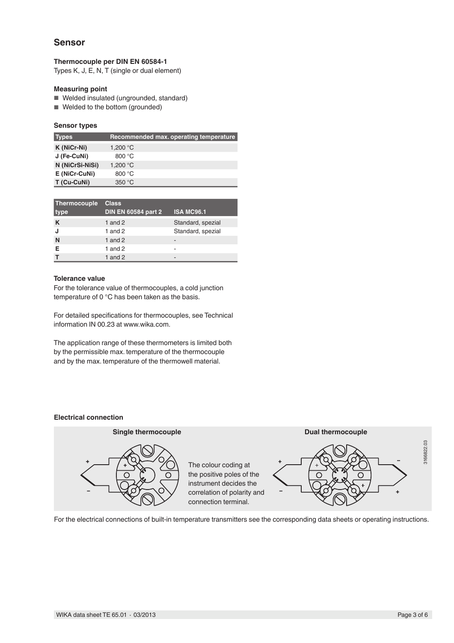### **Sensor**

### **Thermocouple per DIN EN 60584-1**

Types K, J, E, N, T (single or dual element)

### **Measuring point**

- Welded insulated (ungrounded, standard)
- Welded to the bottom (grounded)

### **Sensor types**

| <b>Types</b>    | Recommended max. operating temperature |
|-----------------|----------------------------------------|
| K (NiCr-Ni)     | 1,200 $^{\circ}$ C                     |
| J (Fe-CuNi)     | 800 °C                                 |
| N (NiCrSi-NiSi) | 1.200 $^{\circ}$ C                     |
| E (NiCr-CuNi)   | 800 $\degree$ C                        |
| T (Cu-CuNi)     | 350 °C                                 |

| Thermocouple | <b>Class</b>               |                   |
|--------------|----------------------------|-------------------|
| type         | <b>DIN EN 60584 part 2</b> | <b>ISA MC96.1</b> |
| K            | 1 and $2$                  | Standard, spezial |
| J            | 1 and $2$                  | Standard, spezial |
| N            | 1 and $2$                  | -                 |
| Е            | 1 and $2$                  |                   |
|              | 1 and $2$                  | -                 |

#### **Tolerance value**

For the tolerance value of thermocouples, a cold junction temperature of 0 °C has been taken as the basis.

For detailed specifications for thermocouples, see Technical information IN 00.23 at www.wika.com.

The application range of these thermometers is limited both by the permissible max. temperature of the thermocouple and by the max. temperature of the thermowell material.

### **Electrical connection**



For the electrical connections of built-in temperature transmitters see the corresponding data sheets or operating instructions.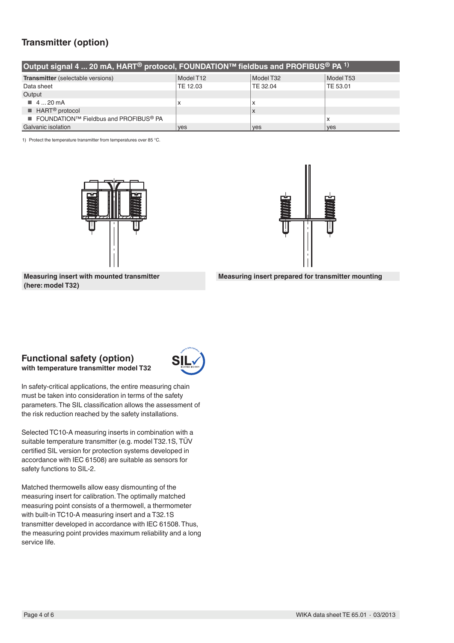# **Transmitter (option)**

| Output signal 4  20 mA, HART <sup>®</sup> protocol, FOUNDATION™ fieldbus and PROFIBUS <sup>®</sup> PA <sup>1)</sup> |            |                           |            |
|---------------------------------------------------------------------------------------------------------------------|------------|---------------------------|------------|
| <b>Transmitter</b> (selectable versions)                                                                            | Model T12  | Model T32                 | Model T53  |
| Data sheet                                                                                                          | TE 12.03   | TE 32.04                  | TE 53.01   |
| Output                                                                                                              |            |                           |            |
| $\blacksquare$ 4  20 mA                                                                                             | $\lambda$  | x                         |            |
| $\blacksquare$ HART <sup>®</sup> protocol                                                                           |            | $\boldsymbol{\mathsf{x}}$ |            |
| ■ FOUNDATION™ Fieldbus and PROFIBUS <sup>®</sup> PA                                                                 |            |                           | x          |
| Galvanic isolation                                                                                                  | <b>ves</b> | <b>ves</b>                | <b>ves</b> |

1) Protect the temperature transmitter from temperatures over 85 °C.





**Measuring insert with mounted transmitter (here: model T32)**



# **Functional safety (option)**

**with temperature transmitter model T32**



In safety-critical applications, the entire measuring chain must be taken into consideration in terms of the safety parameters. The SIL classification allows the assessment of the risk reduction reached by the safety installations.

Selected TC10-A measuring inserts in combination with a suitable temperature transmitter (e.g. model T32.1S, TÜV certified SIL version for protection systems developed in accordance with IEC 61508) are suitable as sensors for safety functions to SIL-2.

Matched thermowells allow easy dismounting of the measuring insert for calibration. The optimally matched measuring point consists of a thermowell, a thermometer with built-in TC10-A measuring insert and a T32.1S transmitter developed in accordance with IEC 61508. Thus, the measuring point provides maximum reliability and a long service life.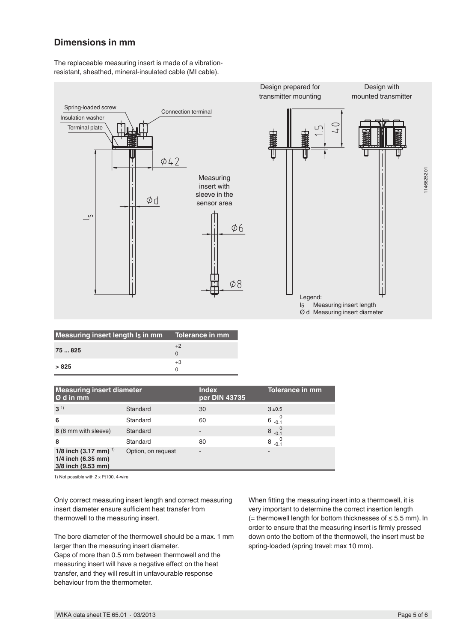## **Dimensions in mm**

The replaceable measuring insert is made of a vibrationresistant, sheathed, mineral-insulated cable (MI cable).



| Measuring insert length I <sub>5</sub> in mm Tolerance in mm |      |
|--------------------------------------------------------------|------|
| 75  825                                                      | $+2$ |
|                                                              |      |
|                                                              | $+3$ |
| > 825                                                        |      |

| <b>Measuring insert diameter</b><br>Ø d in mm                                          |                    | <b>Index</b><br>per DIN 43735 | <b>Tolerance in mm</b> |
|----------------------------------------------------------------------------------------|--------------------|-------------------------------|------------------------|
| $3^{1}$                                                                                | Standard           | 30                            | $3 + 0.5$              |
| 6                                                                                      | Standard           | 60                            | $6^{0}$                |
| 8 (6 mm with sleeve)                                                                   | Standard           | $\overline{\phantom{0}}$      | $8\frac{0}{-0.1}$      |
| 8                                                                                      | Standard           | 80                            | 8<br>$-0.1$            |
| 1/8 inch $(3.17 \text{ mm})$ <sup>1)</sup><br>1/4 inch (6.35 mm)<br>3/8 inch (9.53 mm) | Option, on request | ٠                             |                        |

1) Not possible with 2 x Pt100, 4-wire

Only correct measuring insert length and correct measuring insert diameter ensure sufficient heat transfer from thermowell to the measuring insert.

The bore diameter of the thermowell should be a max. 1 mm larger than the measuring insert diameter. Gaps of more than 0.5 mm between thermowell and the measuring insert will have a negative effect on the heat transfer, and they will result in unfavourable response behaviour from the thermometer.

When fitting the measuring insert into a thermowell, it is very important to determine the correct insertion length (= thermowell length for bottom thicknesses of ≤ 5.5 mm). In order to ensure that the measuring insert is firmly pressed down onto the bottom of the thermowell, the insert must be spring-loaded (spring travel: max 10 mm).